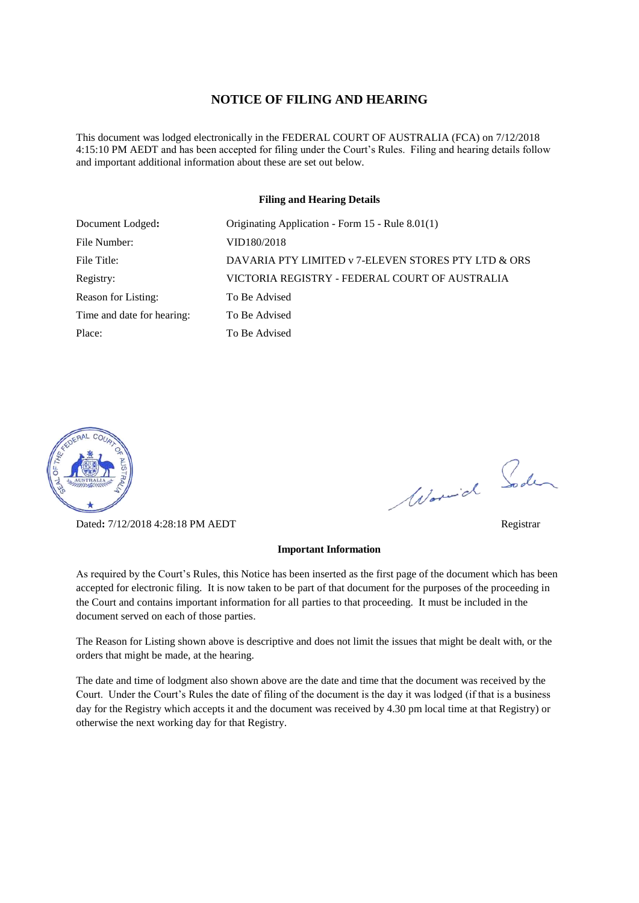#### **NOTICE OF FILING AND HEARING**

This document was lodged electronically in the FEDERAL COURT OF AUSTRALIA (FCA) on 7/12/2018 4:15:10 PM AEDT and has been accepted for filing under the Court's Rules. Filing and hearing details follow and important additional information about these are set out below.

#### **Filing and Hearing Details**

| Document Lodged:           | Originating Application - Form 15 - Rule 8.01(1)    |
|----------------------------|-----------------------------------------------------|
| File Number:               | VID180/2018                                         |
| File Title:                | DAVARIA PTY LIMITED v 7-ELEVEN STORES PTY LTD & ORS |
| Registry:                  | VICTORIA REGISTRY - FEDERAL COURT OF AUSTRALIA      |
| Reason for Listing:        | To Be Advised                                       |
| Time and date for hearing: | To Be Advised                                       |
| Place:                     | To Be Advised                                       |



Dated**:** 7/12/2018 4:28:18 PM AEDT Registrar

# Word Soden

#### **Important Information**

As required by the Court's Rules, this Notice has been inserted as the first page of the document which has been accepted for electronic filing. It is now taken to be part of that document for the purposes of the proceeding in the Court and contains important information for all parties to that proceeding. It must be included in the document served on each of those parties.

The Reason for Listing shown above is descriptive and does not limit the issues that might be dealt with, or the orders that might be made, at the hearing.

The date and time of lodgment also shown above are the date and time that the document was received by the Court. Under the Court's Rules the date of filing of the document is the day it was lodged (if that is a business day for the Registry which accepts it and the document was received by 4.30 pm local time at that Registry) or otherwise the next working day for that Registry.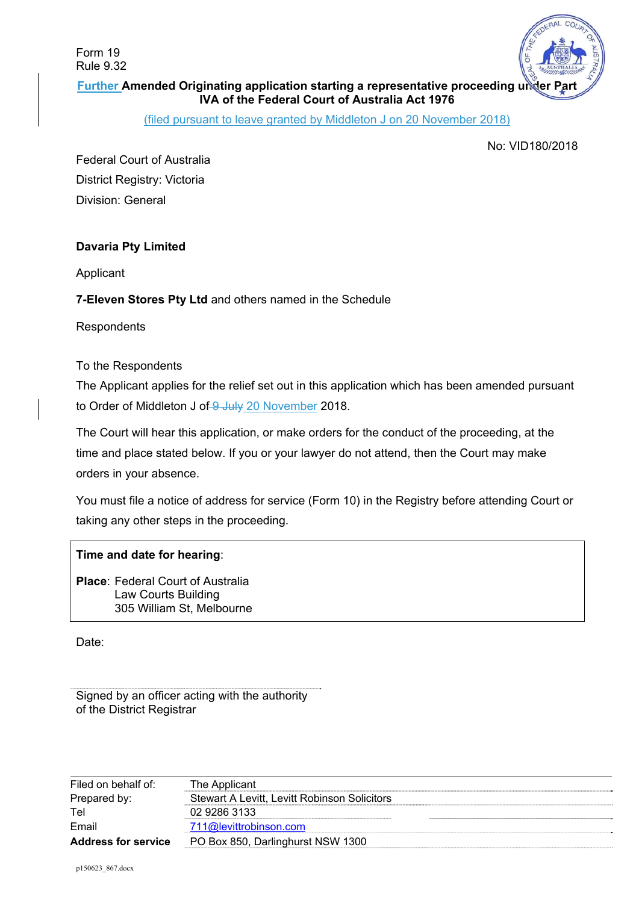Form 19 Rule 9.32



**Further Amended Originating application starting a representative proceeding under IVA of the Federal Court of Australia Act 1976** 

(filed pursuant to leave granted by Middleton J on 20 November 2018)

No: VID180/2018

Federal Court of Australia District Registry: Victoria Division: General

# **Davaria Pty Limited**

Applicant

# **7-Eleven Stores Pty Ltd** and others named in the Schedule

**Respondents** 

## To the Respondents

The Applicant applies for the relief set out in this application which has been amended pursuant to Order of Middleton J of 9 July 20 November 2018.

The Court will hear this application, or make orders for the conduct of the proceeding, at the time and place stated below. If you or your lawyer do not attend, then the Court may make orders in your absence.

You must file a notice of address for service (Form 10) in the Registry before attending Court or taking any other steps in the proceeding.

## **Time and date for hearing**:

**Place**: Federal Court of Australia Law Courts Building 305 William St, Melbourne

Date:

Signed by an officer acting with the authority of the District Registrar

| Filed on behalf of:        | The Applicant                                |  |
|----------------------------|----------------------------------------------|--|
| Prepared by:               | Stewart A Levitt. Levitt Robinson Solicitors |  |
| Tel                        | 02 9286 3133                                 |  |
| Email                      | 711@levittrobinson.com                       |  |
| <b>Address for service</b> | PO Box 850, Darlinghurst NSW 1300            |  |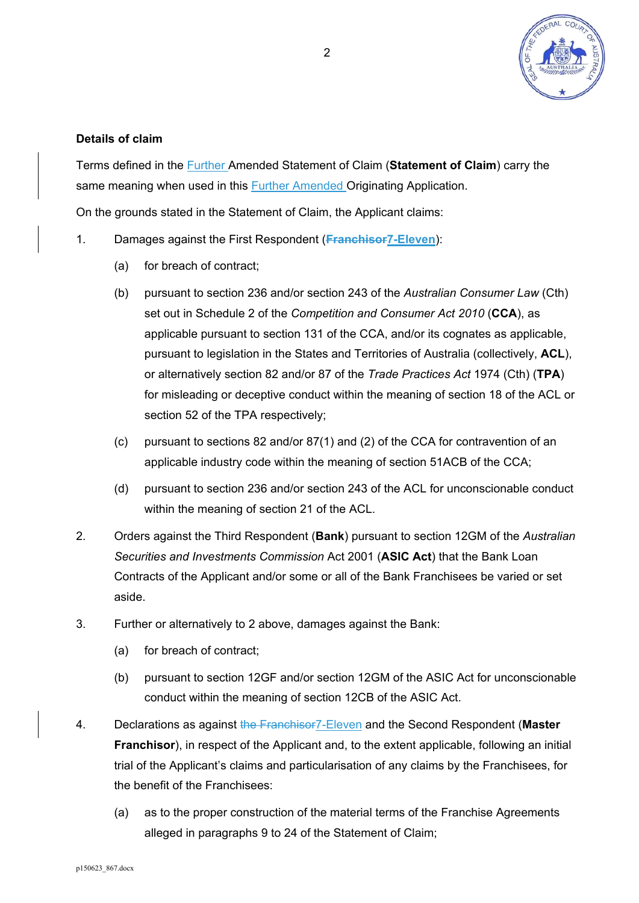

# **Details of claim**

Terms defined in the Further Amended Statement of Claim (**Statement of Claim**) carry the same meaning when used in this Further Amended Originating Application.

On the grounds stated in the Statement of Claim, the Applicant claims:

- 1. Damages against the First Respondent (**Franchisor7-Eleven**):
	- (a) for breach of contract;
	- (b) pursuant to section 236 and/or section 243 of the *Australian Consumer Law* (Cth) set out in Schedule 2 of the *Competition and Consumer Act 2010* (**CCA**), as applicable pursuant to section 131 of the CCA, and/or its cognates as applicable, pursuant to legislation in the States and Territories of Australia (collectively, **ACL**), or alternatively section 82 and/or 87 of the *Trade Practices Act* 1974 (Cth) (**TPA**) for misleading or deceptive conduct within the meaning of section 18 of the ACL or section 52 of the TPA respectively;
	- (c) pursuant to sections 82 and/or 87(1) and (2) of the CCA for contravention of an applicable industry code within the meaning of section 51ACB of the CCA;
	- (d) pursuant to section 236 and/or section 243 of the ACL for unconscionable conduct within the meaning of section 21 of the ACL.
- 2. Orders against the Third Respondent (**Bank**) pursuant to section 12GM of the *Australian Securities and Investments Commission* Act 2001 (**ASIC Act**) that the Bank Loan Contracts of the Applicant and/or some or all of the Bank Franchisees be varied or set aside.
- 3. Further or alternatively to 2 above, damages against the Bank:
	- (a) for breach of contract;
	- (b) pursuant to section 12GF and/or section 12GM of the ASIC Act for unconscionable conduct within the meaning of section 12CB of the ASIC Act.
- 4. Declarations as against the Franchisor7-Eleven and the Second Respondent (**Master Franchisor**), in respect of the Applicant and, to the extent applicable, following an initial trial of the Applicant's claims and particularisation of any claims by the Franchisees, for the benefit of the Franchisees:
	- (a) as to the proper construction of the material terms of the Franchise Agreements alleged in paragraphs 9 to 24 of the Statement of Claim;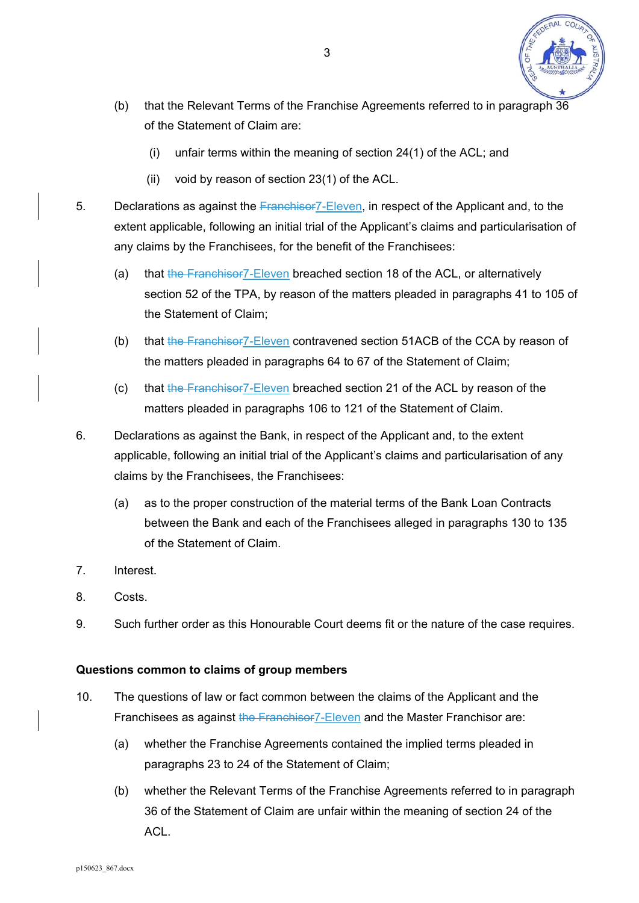

- (b) that the Relevant Terms of the Franchise Agreements referred to in paragraph 36 of the Statement of Claim are:
	- (i) unfair terms within the meaning of section 24(1) of the ACL; and
	- (ii) void by reason of section 23(1) of the ACL.
- 5. Declarations as against the Franchisor7-Eleven, in respect of the Applicant and, to the extent applicable, following an initial trial of the Applicant's claims and particularisation of any claims by the Franchisees, for the benefit of the Franchisees:
	- (a) that the Franchisor7-Eleven breached section 18 of the ACL, or alternatively section 52 of the TPA, by reason of the matters pleaded in paragraphs 41 to 105 of the Statement of Claim;
	- (b) that the Franchisor7-Eleven contravened section 51ACB of the CCA by reason of the matters pleaded in paragraphs 64 to 67 of the Statement of Claim;
	- (c) that the Franchisor7-Eleven breached section 21 of the ACL by reason of the matters pleaded in paragraphs 106 to 121 of the Statement of Claim.
- 6. Declarations as against the Bank, in respect of the Applicant and, to the extent applicable, following an initial trial of the Applicant's claims and particularisation of any claims by the Franchisees, the Franchisees:
	- (a) as to the proper construction of the material terms of the Bank Loan Contracts between the Bank and each of the Franchisees alleged in paragraphs 130 to 135 of the Statement of Claim.
- 7. Interest.
- 8. Costs.
- 9. Such further order as this Honourable Court deems fit or the nature of the case requires.

# **Questions common to claims of group members**

- 10. The questions of law or fact common between the claims of the Applicant and the Franchisees as against the Franchisor 7-Eleven and the Master Franchisor are:
	- (a) whether the Franchise Agreements contained the implied terms pleaded in paragraphs 23 to 24 of the Statement of Claim;
	- (b) whether the Relevant Terms of the Franchise Agreements referred to in paragraph 36 of the Statement of Claim are unfair within the meaning of section 24 of the ACL.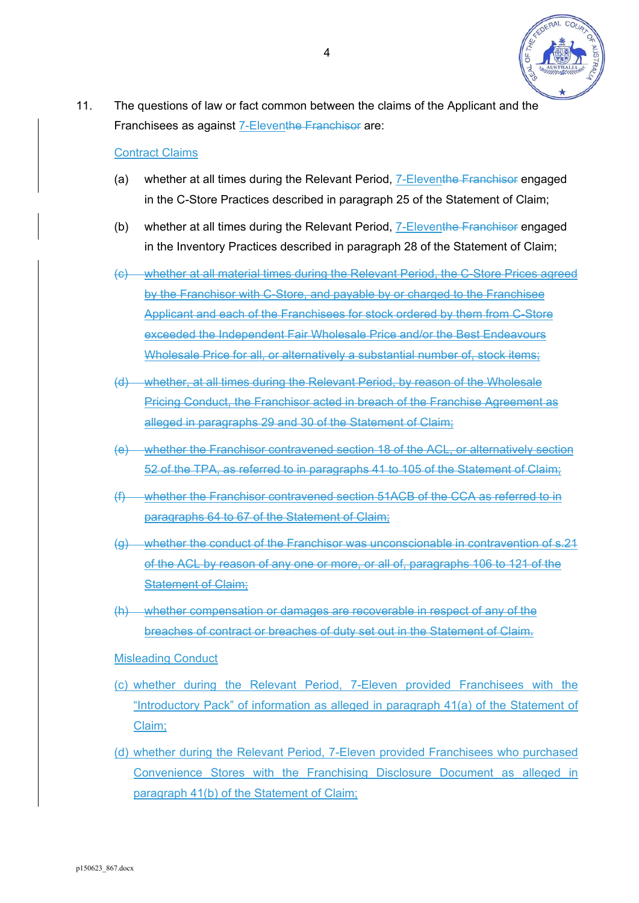

11. The questions of law or fact common between the claims of the Applicant and the Franchisees as against 7-Eleventhe Franchisor are:

#### Contract Claims

- (a) whether at all times during the Relevant Period, 7-Eleventhe Franchisor engaged in the C-Store Practices described in paragraph 25 of the Statement of Claim;
- (b) whether at all times during the Relevant Period, **7-Eleventhe Franchisor engaged** in the Inventory Practices described in paragraph 28 of the Statement of Claim;
- (c) whether at all material times during the Relevant Period, the C-Store Prices agreed by the Franchisor with C-Store, and payable by or charged to the Franchisee Applicant and each of the Franchisees for stock ordered by them from C-Store exceeded the Independent Fair Wholesale Price and/or the Best Endeavours Wholesale Price for all, or alternatively a substantial number of, stock items;
- (d) whether, at all times during the Relevant Period, by reason of the Wholesale Pricing Conduct, the Franchisor acted in breach of the Franchise Agreement as alleged in paragraphs 29 and 30 of the Statement of Claim;
- (e) whether the Franchisor contravened section 18 of the ACL, or alternatively section 52 of the TPA, as referred to in paragraphs 41 to 105 of the Statement of Claim;
- (f) whether the Franchisor contravened section 51ACB of the CCA as referred to in paragraphs 64 to 67 of the Statement of Claim;
- (g) whether the conduct of the Franchisor was unconscionable in contravention of s.21 of the ACL by reason of any one or more, or all of, paragraphs 106 to 121 of the Statement of Claim;
- (h) whether compensation or damages are recoverable in respect of any of the breaches of contract or breaches of duty set out in the Statement of Claim.

Misleading Conduct

- (c) whether during the Relevant Period, 7-Eleven provided Franchisees with the "Introductory Pack" of information as alleged in paragraph 41(a) of the Statement of Claim;
- (d) whether during the Relevant Period, 7-Eleven provided Franchisees who purchased Convenience Stores with the Franchising Disclosure Document as alleged in paragraph 41(b) of the Statement of Claim;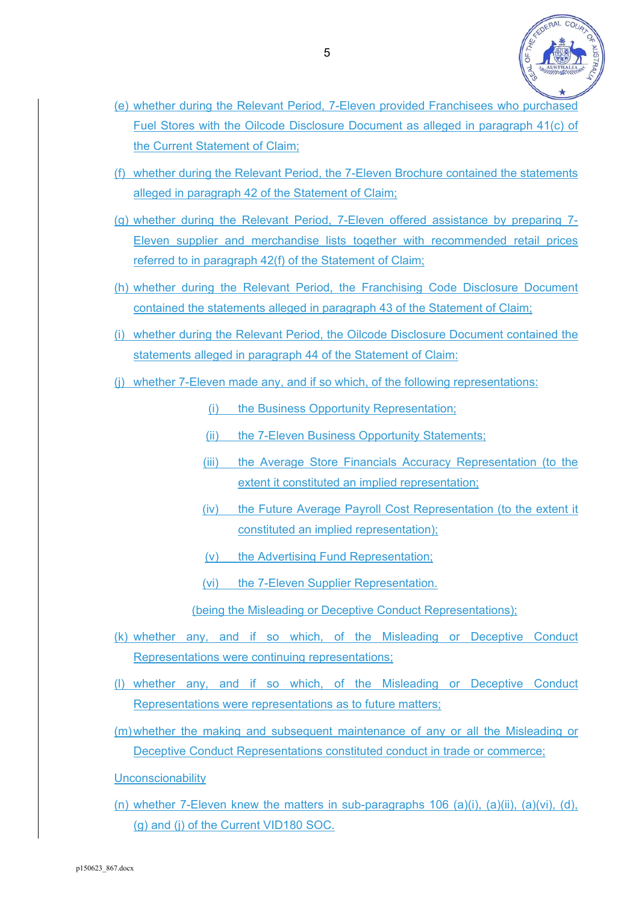

- (e) whether during the Relevant Period, 7-Eleven provided Franchisees who purchased Fuel Stores with the Oilcode Disclosure Document as alleged in paragraph 41(c) of the Current Statement of Claim;
- (f) whether during the Relevant Period, the 7-Eleven Brochure contained the statements alleged in paragraph 42 of the Statement of Claim;
- (g) whether during the Relevant Period, 7-Eleven offered assistance by preparing 7- Eleven supplier and merchandise lists together with recommended retail prices referred to in paragraph 42(f) of the Statement of Claim;
- (h) whether during the Relevant Period, the Franchising Code Disclosure Document contained the statements alleged in paragraph 43 of the Statement of Claim;
- (i) whether during the Relevant Period, the Oilcode Disclosure Document contained the statements alleged in paragraph 44 of the Statement of Claim:
- (j) whether 7-Eleven made any, and if so which, of the following representations:

(i) the Business Opportunity Representation;

(ii) the 7-Eleven Business Opportunity Statements;

- (iii) the Average Store Financials Accuracy Representation (to the extent it constituted an implied representation;
- (iv) the Future Average Payroll Cost Representation (to the extent it constituted an implied representation);
- (v) the Advertising Fund Representation;

(vi) the 7-Eleven Supplier Representation.

(being the Misleading or Deceptive Conduct Representations);

- (k) whether any, and if so which, of the Misleading or Deceptive Conduct Representations were continuing representations;
- (l) whether any, and if so which, of the Misleading or Deceptive Conduct Representations were representations as to future matters;
- (m) whether the making and subsequent maintenance of any or all the Misleading or Deceptive Conduct Representations constituted conduct in trade or commerce;

**Unconscionability** 

(n) whether 7-Eleven knew the matters in sub-paragraphs 106 (a)(i), (a)(ii), (a)(vi), (d), (g) and (j) of the Current VID180 SOC.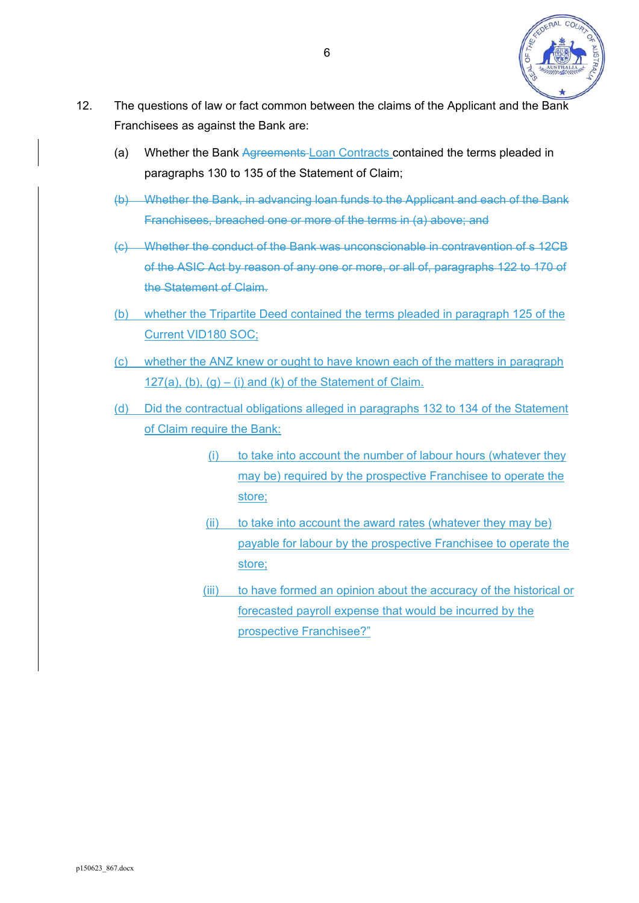

- 12. The questions of law or fact common between the claims of the Applicant and the Bank Franchisees as against the Bank are:
	- (a) Whether the Bank Agreements Loan Contracts contained the terms pleaded in paragraphs 130 to 135 of the Statement of Claim;
	- (b) Whether the Bank, in advancing loan funds to the Applicant and each of the Bank Franchisees, breached one or more of the terms in (a) above; and
	- (c) Whether the conduct of the Bank was unconscionable in contravention of s 12CB of the ASIC Act by reason of any one or more, or all of, paragraphs 122 to 170 of the Statement of Claim.
	- (b) whether the Tripartite Deed contained the terms pleaded in paragraph 125 of the Current VID180 SOC;
	- (c) whether the ANZ knew or ought to have known each of the matters in paragraph 127(a),  $(b)$ ,  $(q) - (i)$  and  $(k)$  of the Statement of Claim.
	- (d) Did the contractual obligations alleged in paragraphs 132 to 134 of the Statement of Claim require the Bank:
		- (i) to take into account the number of labour hours (whatever they may be) required by the prospective Franchisee to operate the store;
		- $(ii)$  to take into account the award rates (whatever they may be) payable for labour by the prospective Franchisee to operate the store;
		- (iii) to have formed an opinion about the accuracy of the historical or forecasted payroll expense that would be incurred by the prospective Franchisee?"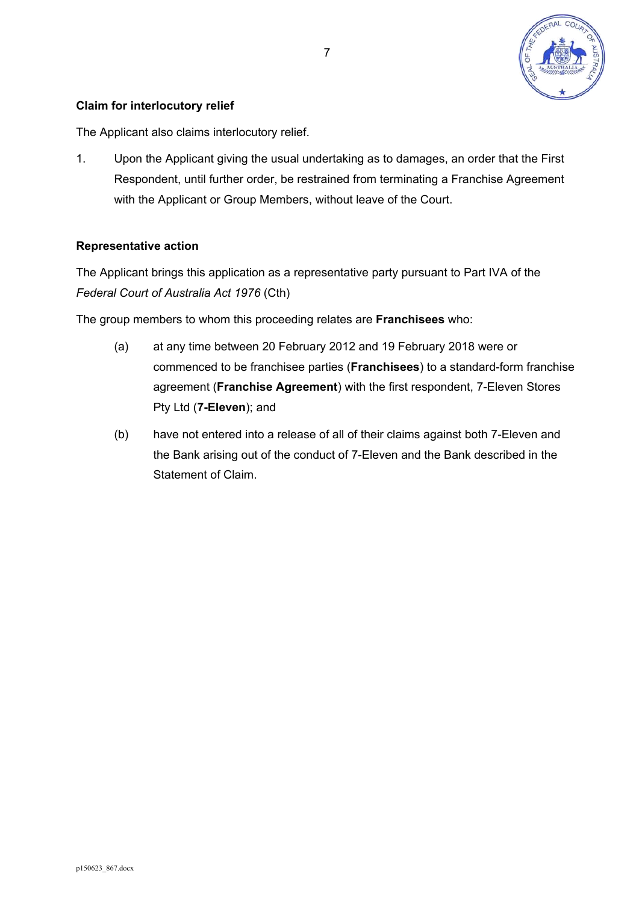

# **Claim for interlocutory relief**

The Applicant also claims interlocutory relief.

1. Upon the Applicant giving the usual undertaking as to damages, an order that the First Respondent, until further order, be restrained from terminating a Franchise Agreement with the Applicant or Group Members, without leave of the Court.

## **Representative action**

The Applicant brings this application as a representative party pursuant to Part IVA of the *Federal Court of Australia Act 1976* (Cth)

The group members to whom this proceeding relates are **Franchisees** who:

- (a) at any time between 20 February 2012 and 19 February 2018 were or commenced to be franchisee parties (**Franchisees**) to a standard-form franchise agreement (**Franchise Agreement**) with the first respondent, 7-Eleven Stores Pty Ltd (**7-Eleven**); and
- (b) have not entered into a release of all of their claims against both 7-Eleven and the Bank arising out of the conduct of 7-Eleven and the Bank described in the Statement of Claim.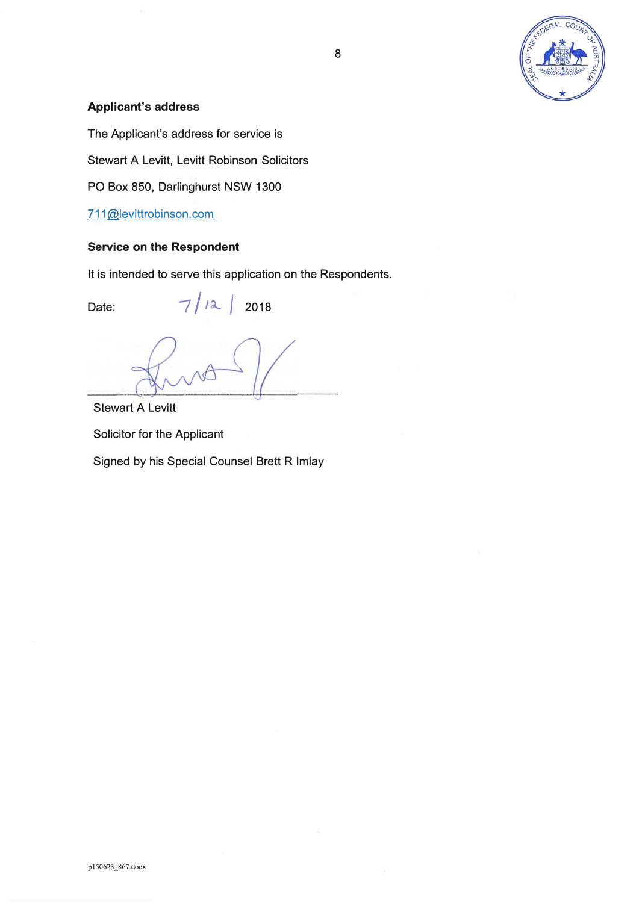

# **Applicant's address**

The Applicant's address for service is

Stewart A Levitt, Levitt Robinson Solicitors

PO Box 850, Darlinghurst NSW 1300

711@levittrobinson.com

## **Service on the Respondent**

It is intended to serve this application on the Respondents.

Date:  $7/12$   $2018$ 

Stewart A Levitt Solicitor for the Applicant

Signed by his Special Counsel Brett R Imlay